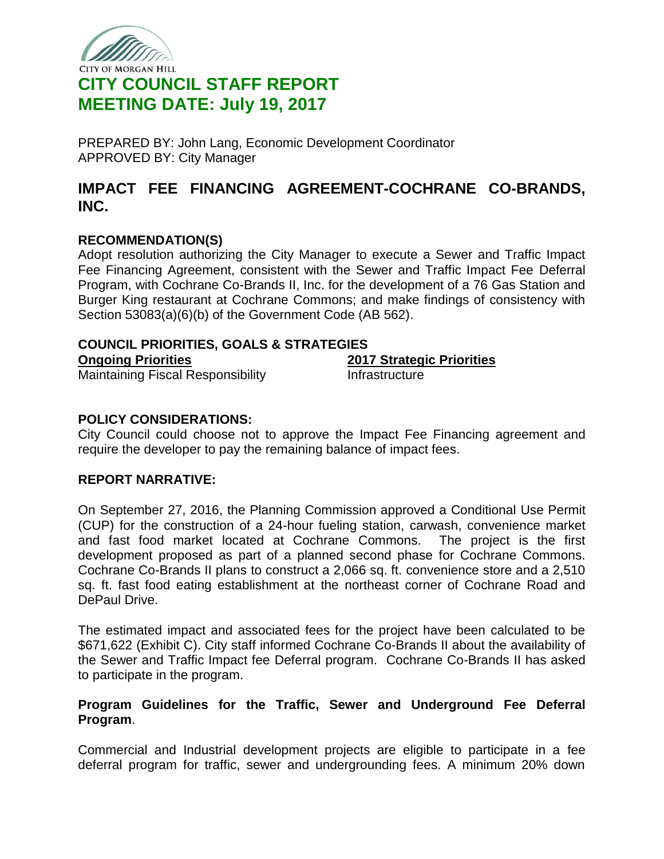

# CITY OF MORGAN HILL **CITY COUNCIL STAFF REPORT MEETING DATE: July 19, 2017**

PREPARED BY: John Lang, Economic Development Coordinator APPROVED BY: City Manager

# **IMPACT FEE FINANCING AGREEMENT-COCHRANE CO-BRANDS, INC.**

## **RECOMMENDATION(S)**

Adopt resolution authorizing the City Manager to execute a Sewer and Traffic Impact Fee Financing Agreement, consistent with the Sewer and Traffic Impact Fee Deferral Program, with Cochrane Co-Brands II, Inc. for the development of a 76 Gas Station and Burger King restaurant at Cochrane Commons; and make findings of consistency with Section 53083(a)(6)(b) of the Government Code (AB 562).

### **COUNCIL PRIORITIES, GOALS & STRATEGIES**

**Ongoing Priorities** Maintaining Fiscal Responsibility **2017 Strategic Priorities**

**Infrastructure** 

## **POLICY CONSIDERATIONS:**

City Council could choose not to approve the Impact Fee Financing agreement and require the developer to pay the remaining balance of impact fees.

### **REPORT NARRATIVE:**

On September 27, 2016, the Planning Commission approved a Conditional Use Permit (CUP) for the construction of a 24-hour fueling station, carwash, convenience market and fast food market located at Cochrane Commons. The project is the first development proposed as part of a planned second phase for Cochrane Commons. Cochrane Co-Brands II plans to construct a 2,066 sq. ft. convenience store and a 2,510 sq. ft. fast food eating establishment at the northeast corner of Cochrane Road and DePaul Drive.

The estimated impact and associated fees for the project have been calculated to be \$671,622 (Exhibit C). City staff informed Cochrane Co-Brands II about the availability of the Sewer and Traffic Impact fee Deferral program. Cochrane Co-Brands II has asked to participate in the program.

## **Program Guidelines for the Traffic, Sewer and Underground Fee Deferral Program**.

Commercial and Industrial development projects are eligible to participate in a fee deferral program for traffic, sewer and undergrounding fees. A minimum 20% down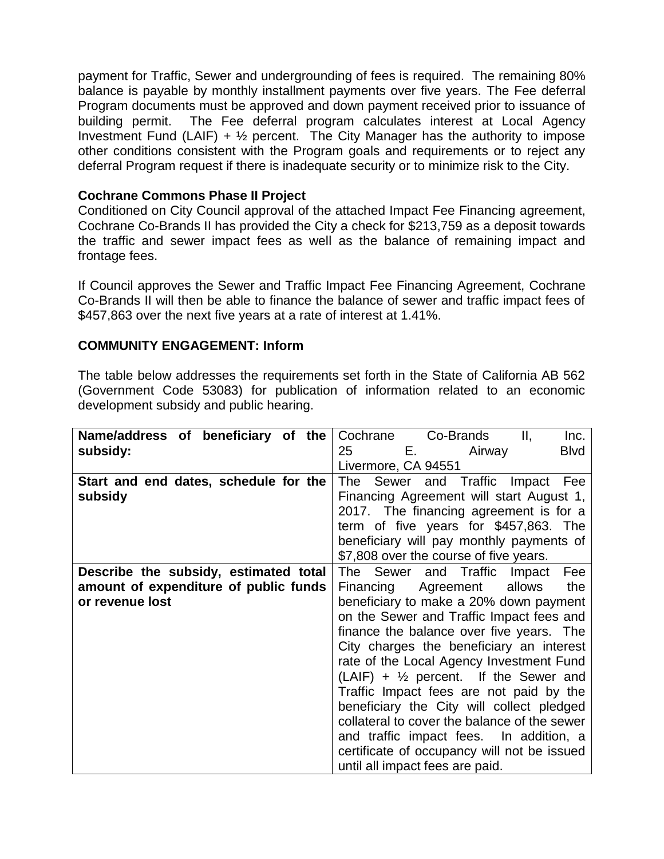payment for Traffic, Sewer and undergrounding of fees is required. The remaining 80% balance is payable by monthly installment payments over five years. The Fee deferral Program documents must be approved and down payment received prior to issuance of building permit. The Fee deferral program calculates interest at Local Agency Investment Fund (LAIF) +  $\frac{1}{2}$  percent. The City Manager has the authority to impose other conditions consistent with the Program goals and requirements or to reject any deferral Program request if there is inadequate security or to minimize risk to the City.

## **Cochrane Commons Phase II Project**

Conditioned on City Council approval of the attached Impact Fee Financing agreement, Cochrane Co-Brands II has provided the City a check for \$213,759 as a deposit towards the traffic and sewer impact fees as well as the balance of remaining impact and frontage fees.

If Council approves the Sewer and Traffic Impact Fee Financing Agreement, Cochrane Co-Brands II will then be able to finance the balance of sewer and traffic impact fees of \$457,863 over the next five years at a rate of interest at 1.41%.

### **COMMUNITY ENGAGEMENT: Inform**

The table below addresses the requirements set forth in the State of California AB 562 (Government Code 53083) for publication of information related to an economic development subsidy and public hearing.

| Name/address of beneficiary of the    | Cochrane Co-Brands<br>Ш,<br>Inc.                         |
|---------------------------------------|----------------------------------------------------------|
| subsidy:                              | 25<br>and <b>E.</b> The control<br><b>Blvd</b><br>Airway |
|                                       | Livermore, CA 94551                                      |
| Start and end dates, schedule for the | The Sewer and Traffic Impact<br>Fee                      |
| subsidy                               | Financing Agreement will start August 1,                 |
|                                       | 2017. The financing agreement is for a                   |
|                                       | term of five years for \$457,863. The                    |
|                                       | beneficiary will pay monthly payments of                 |
|                                       | \$7,808 over the course of five years.                   |
| Describe the subsidy, estimated total | The Sewer and Traffic Impact<br>Fee                      |
| amount of expenditure of public funds | Agreement allows<br>the<br>Financing                     |
| or revenue lost                       | beneficiary to make a 20% down payment                   |
|                                       | on the Sewer and Traffic Impact fees and                 |
|                                       | finance the balance over five years. The                 |
|                                       | City charges the beneficiary an interest                 |
|                                       | rate of the Local Agency Investment Fund                 |
|                                       | $(LAIF) + \frac{1}{2}$ percent. If the Sewer and         |
|                                       | Traffic Impact fees are not paid by the                  |
|                                       | beneficiary the City will collect pledged                |
|                                       | collateral to cover the balance of the sewer             |
|                                       | and traffic impact fees. In addition, a                  |
|                                       | certificate of occupancy will not be issued              |
|                                       | until all impact fees are paid.                          |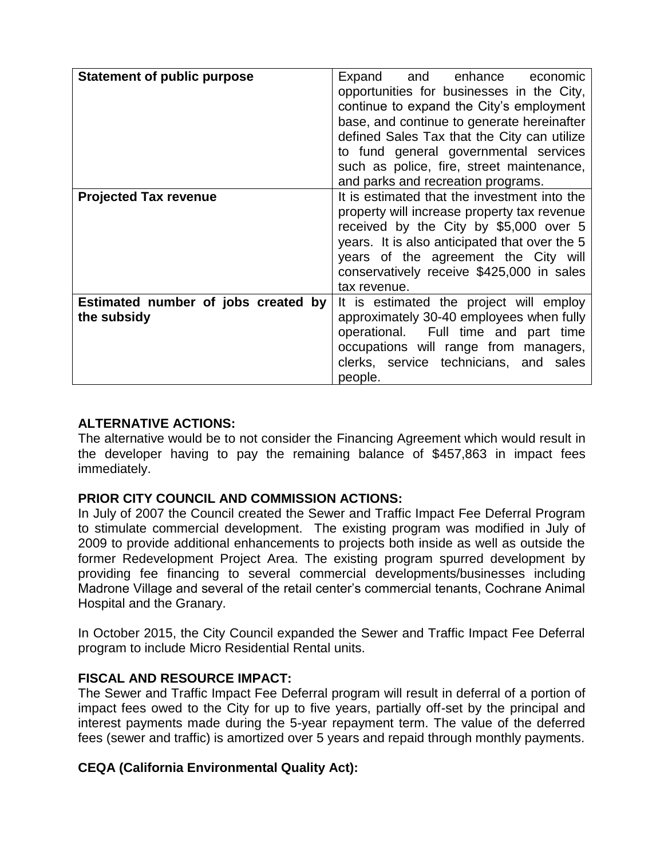| <b>Statement of public purpose</b>                 | Expand and enhance economic<br>opportunities for businesses in the City,<br>continue to expand the City's employment<br>base, and continue to generate hereinafter<br>defined Sales Tax that the City can utilize<br>to fund general governmental services<br>such as police, fire, street maintenance,<br>and parks and recreation programs. |
|----------------------------------------------------|-----------------------------------------------------------------------------------------------------------------------------------------------------------------------------------------------------------------------------------------------------------------------------------------------------------------------------------------------|
| <b>Projected Tax revenue</b>                       | It is estimated that the investment into the<br>property will increase property tax revenue<br>received by the City by \$5,000 over 5<br>years. It is also anticipated that over the 5<br>years of the agreement the City will<br>conservatively receive \$425,000 in sales<br>tax revenue.                                                   |
| Estimated number of jobs created by<br>the subsidy | It is estimated the project will employ<br>approximately 30-40 employees when fully<br>operational. Full time and part time<br>occupations will range from managers,<br>clerks, service technicians, and sales<br>people.                                                                                                                     |

## **ALTERNATIVE ACTIONS:**

The alternative would be to not consider the Financing Agreement which would result in the developer having to pay the remaining balance of \$457,863 in impact fees immediately.

### **PRIOR CITY COUNCIL AND COMMISSION ACTIONS:**

In July of 2007 the Council created the Sewer and Traffic Impact Fee Deferral Program to stimulate commercial development. The existing program was modified in July of 2009 to provide additional enhancements to projects both inside as well as outside the former Redevelopment Project Area. The existing program spurred development by providing fee financing to several commercial developments/businesses including Madrone Village and several of the retail center's commercial tenants, Cochrane Animal Hospital and the Granary.

In October 2015, the City Council expanded the Sewer and Traffic Impact Fee Deferral program to include Micro Residential Rental units.

### **FISCAL AND RESOURCE IMPACT:**

The Sewer and Traffic Impact Fee Deferral program will result in deferral of a portion of impact fees owed to the City for up to five years, partially off-set by the principal and interest payments made during the 5-year repayment term. The value of the deferred fees (sewer and traffic) is amortized over 5 years and repaid through monthly payments.

# **CEQA (California Environmental Quality Act):**